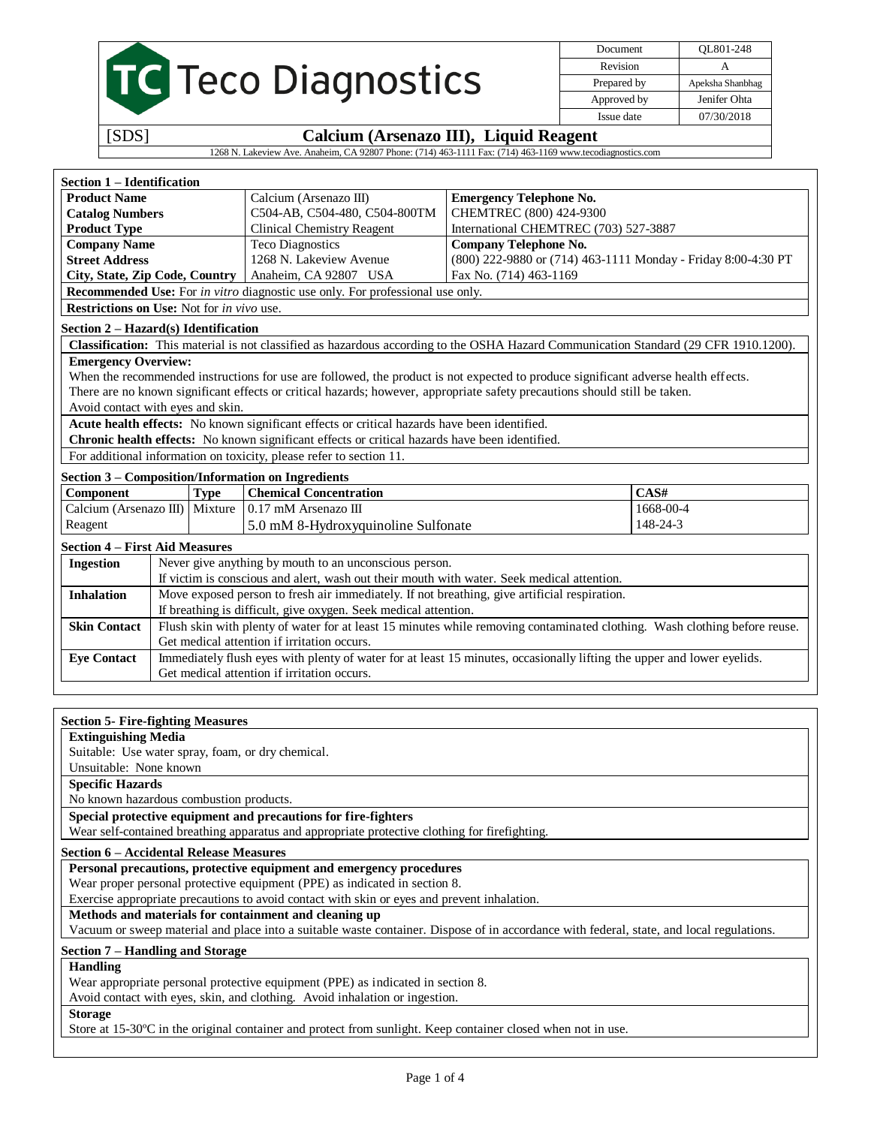|                                                         |                                             |             |                                                                                                                                      |                                       | Document    |                                                               |
|---------------------------------------------------------|---------------------------------------------|-------------|--------------------------------------------------------------------------------------------------------------------------------------|---------------------------------------|-------------|---------------------------------------------------------------|
|                                                         |                                             |             |                                                                                                                                      |                                       | Revision    | QL801-248<br>A                                                |
|                                                         | TC Teco Diagnostics                         |             |                                                                                                                                      |                                       |             |                                                               |
|                                                         |                                             |             |                                                                                                                                      |                                       | Prepared by | Apeksha Shanbhag                                              |
|                                                         |                                             |             |                                                                                                                                      |                                       | Approved by | Jenifer Ohta                                                  |
|                                                         |                                             |             |                                                                                                                                      |                                       | Issue date  | 07/30/2018                                                    |
| [SDS]                                                   |                                             |             | Calcium (Arsenazo III), Liquid Reagent                                                                                               |                                       |             |                                                               |
|                                                         |                                             |             | 1268 N. Lakeview Ave. Anaheim, CA 92807 Phone: (714) 463-1111 Fax: (714) 463-1169 www.tecodiagnostics.com                            |                                       |             |                                                               |
| Section 1 – Identification                              |                                             |             |                                                                                                                                      |                                       |             |                                                               |
| <b>Product Name</b>                                     |                                             |             | Calcium (Arsenazo III)                                                                                                               | <b>Emergency Telephone No.</b>        |             |                                                               |
| <b>Catalog Numbers</b>                                  |                                             |             | C504-AB, C504-480, C504-800TM                                                                                                        | CHEMTREC (800) 424-9300               |             |                                                               |
| <b>Product Type</b>                                     |                                             |             | <b>Clinical Chemistry Reagent</b>                                                                                                    | International CHEMTREC (703) 527-3887 |             |                                                               |
| <b>Company Name</b>                                     |                                             |             | <b>Teco Diagnostics</b>                                                                                                              | <b>Company Telephone No.</b>          |             |                                                               |
| <b>Street Address</b>                                   |                                             |             | 1268 N. Lakeview Avenue                                                                                                              |                                       |             | (800) 222-9880 or (714) 463-1111 Monday - Friday 8:00-4:30 PT |
| City, State, Zip Code, Country                          |                                             |             | Anaheim, CA 92807 USA                                                                                                                | Fax No. (714) 463-1169                |             |                                                               |
|                                                         |                                             |             | <b>Recommended Use:</b> For in vitro diagnostic use only. For professional use only.                                                 |                                       |             |                                                               |
| <b>Restrictions on Use:</b> Not for <i>in vivo</i> use. |                                             |             |                                                                                                                                      |                                       |             |                                                               |
| Section 2 – Hazard(s) Identification                    |                                             |             |                                                                                                                                      |                                       |             |                                                               |
|                                                         |                                             |             | Classification: This material is not classified as hazardous according to the OSHA Hazard Communication Standard (29 CFR 1910.1200). |                                       |             |                                                               |
| <b>Emergency Overview:</b>                              |                                             |             |                                                                                                                                      |                                       |             |                                                               |
|                                                         |                                             |             | When the recommended instructions for use are followed, the product is not expected to produce significant adverse health effects.   |                                       |             |                                                               |
|                                                         |                                             |             | There are no known significant effects or critical hazards; however, appropriate safety precautions should still be taken.           |                                       |             |                                                               |
| Avoid contact with eyes and skin.                       |                                             |             |                                                                                                                                      |                                       |             |                                                               |
|                                                         |                                             |             | Acute health effects: No known significant effects or critical hazards have been identified.                                         |                                       |             |                                                               |
|                                                         |                                             |             | Chronic health effects: No known significant effects or critical hazards have been identified.                                       |                                       |             |                                                               |
|                                                         |                                             |             | For additional information on toxicity, please refer to section 11.                                                                  |                                       |             |                                                               |
|                                                         |                                             |             | <b>Section 3 – Composition/Information on Ingredients</b>                                                                            |                                       |             |                                                               |
| Component                                               |                                             | <b>Type</b> | <b>Chemical Concentration</b>                                                                                                        |                                       | CAS#        |                                                               |
| Calcium (Arsenazo III) Mixture                          |                                             |             | $0.17$ mM Arsenazo III                                                                                                               |                                       |             | 1668-00-4                                                     |
| Reagent                                                 |                                             |             | 5.0 mM 8-Hydroxyquinoline Sulfonate                                                                                                  |                                       |             | 148-24-3                                                      |
| <b>Section 4 – First Aid Measures</b>                   |                                             |             |                                                                                                                                      |                                       |             |                                                               |
| <b>Ingestion</b>                                        |                                             |             | Never give anything by mouth to an unconscious person.                                                                               |                                       |             |                                                               |
|                                                         |                                             |             | If victim is conscious and alert, wash out their mouth with water. Seek medical attention.                                           |                                       |             |                                                               |
| <b>Inhalation</b>                                       |                                             |             | Move exposed person to fresh air immediately. If not breathing, give artificial respiration.                                         |                                       |             |                                                               |
|                                                         |                                             |             | If breathing is difficult, give oxygen. Seek medical attention.                                                                      |                                       |             |                                                               |
| <b>Skin Contact</b>                                     |                                             |             | Flush skin with plenty of water for at least 15 minutes while removing contaminated clothing. Wash clothing before reuse.            |                                       |             |                                                               |
|                                                         |                                             |             | Get medical attention if irritation occurs.                                                                                          |                                       |             |                                                               |
| <b>Eye Contact</b>                                      |                                             |             | Immediately flush eyes with plenty of water for at least 15 minutes, occasionally lifting the upper and lower eyelids.               |                                       |             |                                                               |
|                                                         | Get medical attention if irritation occurs. |             |                                                                                                                                      |                                       |             |                                                               |

## **Section 5- Fire-fighting Measures**

### **Extinguishing Media**

Suitable: Use water spray, foam, or dry chemical.

Unsuitable: None known

**Specific Hazards**

No known hazardous combustion products.

**Special protective equipment and precautions for fire-fighters**

Wear self-contained breathing apparatus and appropriate protective clothing for firefighting.

## **Section 6 – Accidental Release Measures**

**Personal precautions, protective equipment and emergency procedures**

Wear proper personal protective equipment (PPE) as indicated in section 8.

Exercise appropriate precautions to avoid contact with skin or eyes and prevent inhalation. **Methods and materials for containment and cleaning up**

Vacuum or sweep material and place into a suitable waste container. Dispose of in accordance with federal, state, and local regulations.

## **Section 7 – Handling and Storage**

## **Handling**

Wear appropriate personal protective equipment (PPE) as indicated in section 8. Avoid contact with eyes, skin, and clothing. Avoid inhalation or ingestion.

## **Storage**

Store at 15-30ºC in the original container and protect from sunlight. Keep container closed when not in use.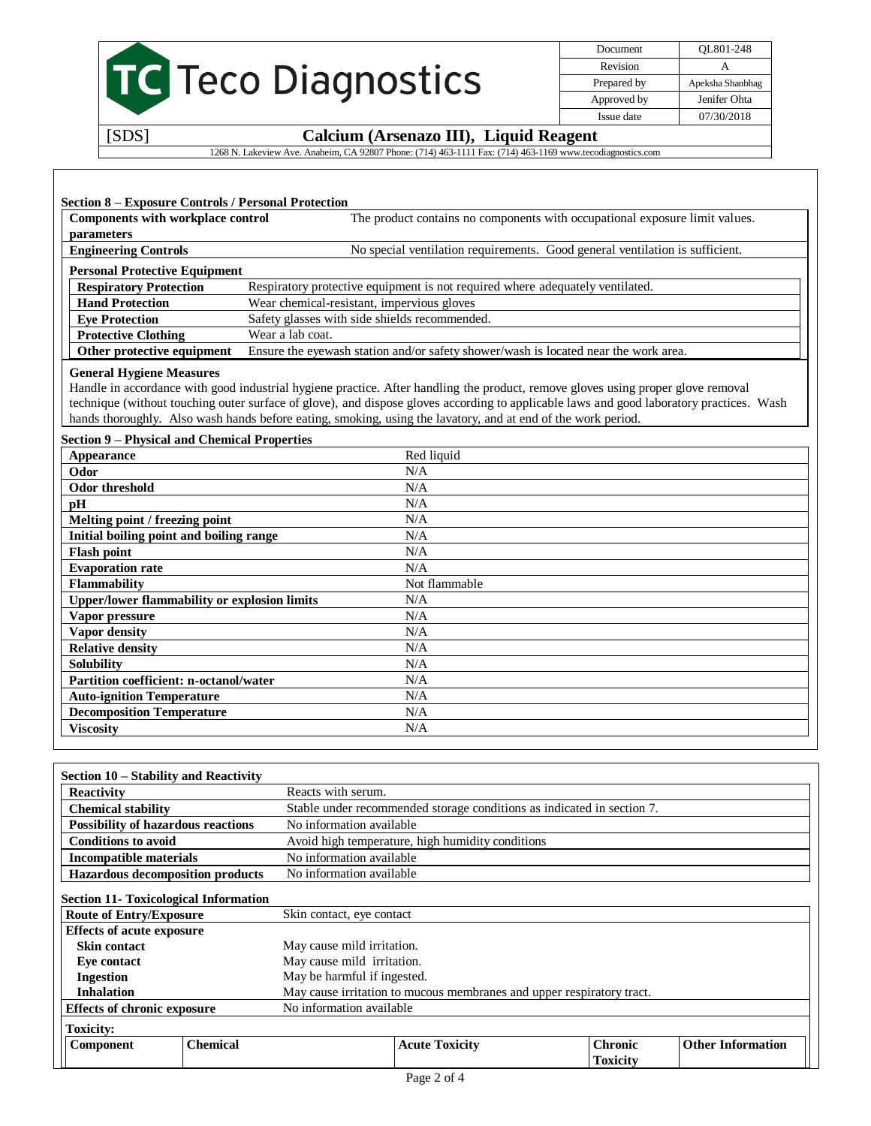|       | <b>TC</b> Teco Diagnostics                  |                            | OL801-248<br>Apeksha Shanbhag |
|-------|---------------------------------------------|----------------------------|-------------------------------|
|       |                                             | Prepared by<br>Approved by | Jenifer Ohta                  |
| 50001 | $\alpha$ is $\alpha$ in the single $\alpha$ | Issue date                 | 07/30/2018                    |

## [SDS] **Calcium (Arsenazo III), Liquid Reagent**

1268 N. Lakeview Ave. Anaheim, CA 92807 Phone: (714) 463-1111 Fax: (714) 463-1169 www.tecodiagnostics.com

| Components with workplace control<br>parameters | The product contains no components with occupational exposure limit values.         |
|-------------------------------------------------|-------------------------------------------------------------------------------------|
| <b>Engineering Controls</b>                     | No special ventilation requirements. Good general ventilation is sufficient.        |
| <b>Personal Protective Equipment</b>            |                                                                                     |
| <b>Respiratory Protection</b>                   | Respiratory protective equipment is not required where adequately ventilated.       |
| <b>Hand Protection</b>                          | Wear chemical-resistant, impervious gloves                                          |
| <b>Eve Protection</b>                           | Safety glasses with side shields recommended.                                       |
| <b>Protective Clothing</b>                      | Wear a lab coat.                                                                    |
| Other protective equipment                      | Ensure the eyewash station and/or safety shower/wash is located near the work area. |

Handle in accordance with good industrial hygiene practice. After handling the product, remove gloves using proper glove removal technique (without touching outer surface of glove), and dispose gloves according to applicable laws and good laboratory practices. Wash hands thoroughly. Also wash hands before eating, smoking, using the lavatory, and at end of the work period.

## **Section 9 – Physical and Chemical Properties**

| <b>Appearance</b>                                   | Red liquid    |
|-----------------------------------------------------|---------------|
| Odor                                                | N/A           |
| Odor threshold                                      | N/A           |
| рH                                                  | N/A           |
| Melting point / freezing point                      | N/A           |
| Initial boiling point and boiling range             | N/A           |
| <b>Flash point</b>                                  | N/A           |
| <b>Evaporation rate</b>                             | N/A           |
| <b>Flammability</b>                                 | Not flammable |
| <b>Upper/lower flammability or explosion limits</b> | N/A           |
| Vapor pressure                                      | N/A           |
| Vapor density                                       | N/A           |
| <b>Relative density</b>                             | N/A           |
| Solubility                                          | N/A           |
| <b>Partition coefficient: n-octanol/water</b>       | N/A           |
| <b>Auto-ignition Temperature</b>                    | N/A           |
| <b>Decomposition Temperature</b>                    | N/A           |
| <b>Viscosity</b>                                    | N/A           |

| Section 10 – Stability and Reactivity        |                                                             |                                                                        |                          |                                   |                          |  |  |
|----------------------------------------------|-------------------------------------------------------------|------------------------------------------------------------------------|--------------------------|-----------------------------------|--------------------------|--|--|
| <b>Reactivity</b>                            |                                                             | Reacts with serum.                                                     |                          |                                   |                          |  |  |
| <b>Chemical stability</b>                    |                                                             | Stable under recommended storage conditions as indicated in section 7. |                          |                                   |                          |  |  |
| <b>Possibility of hazardous reactions</b>    |                                                             |                                                                        | No information available |                                   |                          |  |  |
| <b>Conditions to avoid</b>                   |                                                             | Avoid high temperature, high humidity conditions                       |                          |                                   |                          |  |  |
| Incompatible materials                       |                                                             | No information available                                               |                          |                                   |                          |  |  |
| <b>Hazardous decomposition products</b>      |                                                             | No information available                                               |                          |                                   |                          |  |  |
| <b>Section 11- Toxicological Information</b> |                                                             |                                                                        |                          |                                   |                          |  |  |
|                                              | <b>Route of Entry/Exposure</b><br>Skin contact, eye contact |                                                                        |                          |                                   |                          |  |  |
| <b>Effects of acute exposure</b>             |                                                             |                                                                        |                          |                                   |                          |  |  |
| <b>Skin contact</b>                          |                                                             | May cause mild irritation.                                             |                          |                                   |                          |  |  |
| Eve contact                                  |                                                             | May cause mild irritation.                                             |                          |                                   |                          |  |  |
| <b>Ingestion</b>                             |                                                             | May be harmful if ingested.                                            |                          |                                   |                          |  |  |
| <b>Inhalation</b>                            |                                                             | May cause irritation to mucous membranes and upper respiratory tract.  |                          |                                   |                          |  |  |
| <b>Effects of chronic exposure</b>           |                                                             | No information available                                               |                          |                                   |                          |  |  |
| <b>Toxicity:</b>                             |                                                             |                                                                        |                          |                                   |                          |  |  |
| Component                                    | <b>Chemical</b>                                             |                                                                        | <b>Acute Toxicity</b>    | <b>Chronic</b><br><b>Toxicity</b> | <b>Other Information</b> |  |  |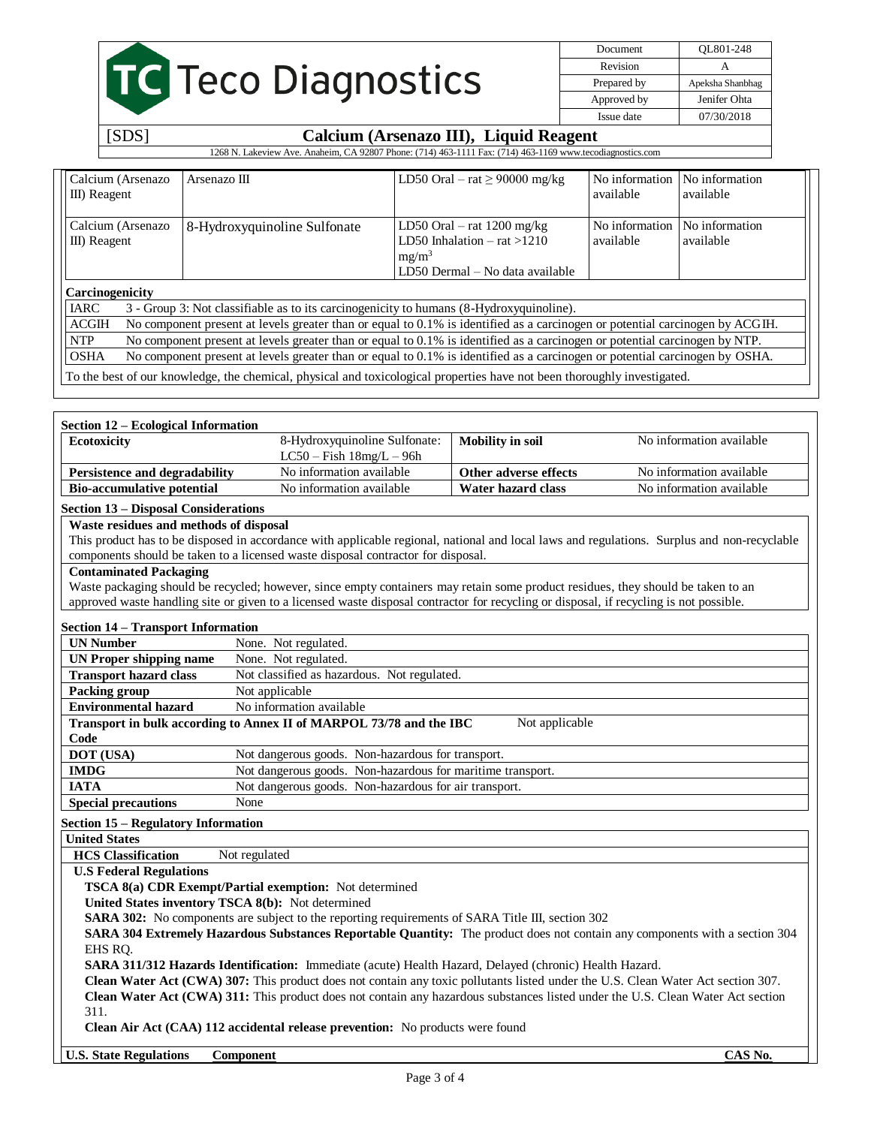# **TC** Teco Diagnostics

[SDS] **Calcium (Arsenazo III), Liquid Reagent**

Document QL801-248 Revision A Prepared by Apeksha Shanbhag Approved by Jenifer Ohta Issue date 07/30/2018

#### 1268 N. Lakeview Ave. Anaheim, CA 92807 Phone: (714) 463-1111 Fax: (714) 463-1169 www.tecodiagnostics.com Calcium (Arsenazo III) Reagent Arsenazo III  $\vert$  LD50 Oral – rat  $\geq$  90000 mg/kg  $\vert$  No information available No information available Calcium (Arsenazo III) Reagent 8-Hydroxyquinoline Sulfonate LD50 Oral – rat 1200 mg/kg LD50 Inhalation – rat >1210  $mg/m<sup>3</sup>$ LD50 Dermal – No data available No information available No information available **Carcinogenicity** IARC 3 - Group 3: Not classifiable as to its carcinogenicity to humans (8-Hydroxyquinoline). ACGIH No component present at levels greater than or equal to 0.1% is identified as a carcinogen or potential carcinogen by ACGIH. NTP No component present at levels greater than or equal to 0.1% is identified as a carcinogen or potential carcinogen by NTP. OSHA No component present at levels greater than or equal to 0.1% is identified as a carcinogen or potential carcinogen by OSHA. To the best of our knowledge, the chemical, physical and toxicological properties have not been thoroughly investigated.

| Section 12 – Ecological Information |                               |                       |                          |
|-------------------------------------|-------------------------------|-----------------------|--------------------------|
| Ecotoxicity                         | 8-Hydroxyquinoline Sulfonate: | Mobility in soil      | No information available |
|                                     | $LC50 - Fish 18mg/L - 96h$    |                       |                          |
| Persistence and degradability       | No information available      | Other adverse effects | No information available |
| <b>Bio-accumulative potential</b>   | No information available      | Water hazard class    | No information available |
|                                     |                               |                       |                          |

# **Section 13 – Disposal Considerations**

## **Waste residues and methods of disposal**

This product has to be disposed in accordance with applicable regional, national and local laws and regulations. Surplus and non-recyclable components should be taken to a licensed waste disposal contractor for disposal.

## **Contaminated Packaging**

Waste packaging should be recycled; however, since empty containers may retain some product residues, they should be taken to an approved waste handling site or given to a licensed waste disposal contractor for recycling or disposal, if recycling is not possible.

## **Section 14 – Transport Information**

| <b>UN Number</b>              | None. Not regulated.                                                                  |
|-------------------------------|---------------------------------------------------------------------------------------|
| UN Proper shipping name       | None. Not regulated.                                                                  |
| <b>Transport hazard class</b> | Not classified as hazardous. Not regulated.                                           |
| Packing group                 | Not applicable                                                                        |
| <b>Environmental hazard</b>   | No information available                                                              |
|                               | Not applicable<br>Transport in bulk according to Annex II of MARPOL 73/78 and the IBC |
| Code                          |                                                                                       |
| <b>DOT</b> (USA)              | Not dangerous goods. Non-hazardous for transport.                                     |
| <b>IMDG</b>                   | Not dangerous goods. Non-hazardous for maritime transport.                            |
| <b>IATA</b>                   | Not dangerous goods. Non-hazardous for air transport.                                 |
| <b>Special precautions</b>    | None                                                                                  |

## **Section 15 – Regulatory Information**

**United States**

**HCS Classification** Not regulated

## **U.S Federal Regulations**

**TSCA 8(a) CDR Exempt/Partial exemption:** Not determined

**United States inventory TSCA 8(b):** Not determined

**SARA 302:** No components are subject to the reporting requirements of SARA Title III, section 302

**SARA 304 Extremely Hazardous Substances Reportable Quantity:** The product does not contain any components with a section 304 EHS RQ.

**SARA 311/312 Hazards Identification:** Immediate (acute) Health Hazard, Delayed (chronic) Health Hazard.

**Clean Water Act (CWA) 307:** This product does not contain any toxic pollutants listed under the U.S. Clean Water Act section 307. **Clean Water Act (CWA) 311:** This product does not contain any hazardous substances listed under the U.S. Clean Water Act section

311.

**Clean Air Act (CAA) 112 accidental release prevention:** No products were found

**U.S. State Regulations Component CAS No.**